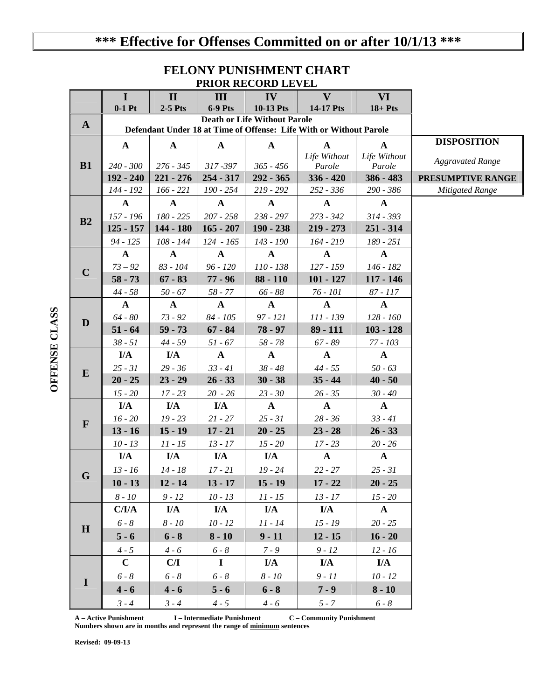## **\*\*\* Effective for Offenses Committed on or after 10/1/13 \*\*\***

### **FELONY PUNISHMENT CHART PRIOR RECORD LEVEL**

|              | $\bf{I}$                                                                                                  | $\mathbf{I}$ | III                | IV           | $\mathbf{V}$                 | VI                           |                         |  |  |  |
|--------------|-----------------------------------------------------------------------------------------------------------|--------------|--------------------|--------------|------------------------------|------------------------------|-------------------------|--|--|--|
|              | $0-1$ Pt                                                                                                  | $2-5$ Pts    | <b>6-9 Pts</b>     | 10-13 Pts    | 14-17 Pts                    | $18 + P$ ts                  |                         |  |  |  |
| $\mathbf{A}$ | <b>Death or Life Without Parole</b><br>Defendant Under 18 at Time of Offense: Life With or Without Parole |              |                    |              |                              |                              |                         |  |  |  |
|              |                                                                                                           |              | <b>DISPOSITION</b> |              |                              |                              |                         |  |  |  |
|              | $\mathbf{A}$                                                                                              | $\mathbf{A}$ | $\mathbf{A}$       | $\mathbf{A}$ | $\mathbf{A}$<br>Life Without | $\mathbf{A}$<br>Life Without |                         |  |  |  |
| B1           | $240 - 300$                                                                                               | $276 - 345$  | $317 - 397$        | $365 - 456$  | Parole                       | Parole                       | <b>Aggravated Range</b> |  |  |  |
|              | 192 - 240                                                                                                 | $221 - 276$  | $254 - 317$        | $292 - 365$  | $336 - 420$                  | 386 - 483                    | PRESUMPTIVE RANGE       |  |  |  |
|              | 144 - 192                                                                                                 | $166 - 221$  | 190 - 254          | 219 - 292    | 252 - 336                    | 290 - 386                    | <b>Mitigated Range</b>  |  |  |  |
| B2           | $\mathbf{A}$                                                                                              | $\mathbf{A}$ | $\mathbf{A}$       | $\mathbf{A}$ | $\mathbf{A}$                 | $\mathbf{A}$                 |                         |  |  |  |
|              | 157 - 196                                                                                                 | 180 - 225    | $207 - 258$        | 238 - 297    | $273 - 342$                  | $314 - 393$                  |                         |  |  |  |
|              | $125 - 157$                                                                                               | 144 - 180    | $165 - 207$        | $190 - 238$  | $219 - 273$                  | $251 - 314$                  |                         |  |  |  |
|              | $94 - 125$                                                                                                | 108 - 144    | $124 - 165$        | 143 - 190    | $164 - 219$                  | 189 - 251                    |                         |  |  |  |
|              | $\mathbf{A}$                                                                                              | $\mathbf{A}$ | $\mathbf{A}$       | $\mathbf{A}$ | $\mathbf{A}$                 | $\mathbf{A}$                 |                         |  |  |  |
| $\mathbf C$  | $73 - 92$                                                                                                 | 83 - 104     | $96 - 120$         | 110 - 138    | $127 - 159$                  | 146 - 182                    |                         |  |  |  |
|              | $58 - 73$                                                                                                 | $67 - 83$    | $77 - 96$          | $88 - 110$   | $101 - 127$                  | $117 - 146$                  |                         |  |  |  |
|              | $44 - 58$                                                                                                 | $50 - 67$    | $58 - 77$          | $66 - 88$    | $76 - 101$                   | 87 - 117                     |                         |  |  |  |
|              | $\mathbf{A}$                                                                                              | $\mathbf{A}$ | $\mathbf{A}$       | $\mathbf{A}$ | $\mathbf{A}$                 | $\mathbf{A}$                 |                         |  |  |  |
| D            | $64 - 80$                                                                                                 | $73 - 92$    | $84 - 105$         | 97 - 121     | 111 - 139                    | 128 - 160                    |                         |  |  |  |
|              | $51 - 64$                                                                                                 | $59 - 73$    | $67 - 84$          | $78 - 97$    | $89 - 111$                   | $103 - 128$                  |                         |  |  |  |
|              | $38 - 51$                                                                                                 | $44 - 59$    | 51 - 67            | $58 - 78$    | $67 - 89$                    | $77 - 103$                   |                         |  |  |  |
|              | I/A                                                                                                       | I/A          | $\mathbf{A}$       | $\mathbf{A}$ | $\mathbf{A}$                 | $\mathbf{A}$                 |                         |  |  |  |
| E            | $25 - 31$                                                                                                 | $29 - 36$    | $33 - 41$          | $38 - 48$    | $44 - 55$                    | $50 - 63$                    |                         |  |  |  |
|              | $20 - 25$                                                                                                 | $23 - 29$    | $26 - 33$          | $30 - 38$    | $35 - 44$                    | $40 - 50$                    |                         |  |  |  |
|              | $15 - 20$                                                                                                 | $17 - 23$    | $20 - 26$          | $23 - 30$    | $26 - 35$                    | $30 - 40$                    |                         |  |  |  |
|              | I/A                                                                                                       | I/A          | I/A                | $\mathbf{A}$ | $\mathbf{A}$                 | $\mathbf{A}$                 |                         |  |  |  |
| $\mathbf{F}$ | $16 - 20$                                                                                                 | $19 - 23$    | $21 - 27$          | $25 - 31$    | $28 - 36$                    | $33 - 41$                    |                         |  |  |  |
|              | $13 - 16$                                                                                                 | $15 - 19$    | $17 - 21$          | $20 - 25$    | $23 - 28$                    | $26 - 33$                    |                         |  |  |  |
|              | $10 - 13$                                                                                                 | $11 - 15$    | $13 - 17$          | $15 - 20$    | $17 - 23$                    | $20 - 26$                    |                         |  |  |  |
|              | I/A                                                                                                       | I/A          | I/A                | I/A          | $\mathbf{A}$                 | $\mathbf{A}$                 |                         |  |  |  |
| G            | $13 - 16$                                                                                                 | $14 - 18$    | $17 - 21$          | $19 - 24$    | $22 - 27$                    | $25 - 31$                    |                         |  |  |  |
|              | $10 - 13$                                                                                                 | $12 - 14$    | $13 - 17$          | $15 - 19$    | $17 - 22$                    | $20 - 25$                    |                         |  |  |  |
|              | $8$ - $10\,$                                                                                              | $9 - 12$     | $10 - 13$          | $11 - 15$    | $13 - 17$                    | $15 - 20$                    |                         |  |  |  |
| $\mathbf H$  | C/I/A                                                                                                     | I/A          | I/A                | I/A          | I/A                          | $\mathbf{A}$                 |                         |  |  |  |
|              | $6 - 8$                                                                                                   | $8 - 10$     | $10 - 12$          | $11 - 14$    | $15 - 19$                    | $20 - 25$                    |                         |  |  |  |
|              | $5 - 6$                                                                                                   | $6 - 8$      | $8 - 10$           | $9 - 11$     | $12 - 15$                    | $16 - 20$                    |                         |  |  |  |
|              | $4 - 5$                                                                                                   | $4 - 6$      | $6 - 8$            | $7 - 9$      | $9 - 12$                     | $12 - 16$                    |                         |  |  |  |
| -1           | $\mathbf C$                                                                                               | C/I          | $\mathbf I$        | I/A          | I/A                          | I/A                          |                         |  |  |  |
|              | $6 - 8$                                                                                                   | $6 - 8$      | $6 - 8$            | $8 - 10$     | $9 - 11$                     | $10 - 12$                    |                         |  |  |  |
|              | $4 - 6$                                                                                                   | $4 - 6$      | $5 - 6$            | $6 - 8$      | $7 - 9$                      | $8 - 10$                     |                         |  |  |  |
|              | $3 - 4$                                                                                                   | $3 - 4$      | $4 - 5$            | $4 - 6$      | $5 - 7$                      | $6 - 8$                      |                         |  |  |  |

**A – Active Punishment I – Intermediate Punishment C – Community Punishment Numbers shown are in months and represent the range of minimum sentences** 

**Revised: 09-09-13** 

# OFFENSE CLASS **OFFENSE CLASS**